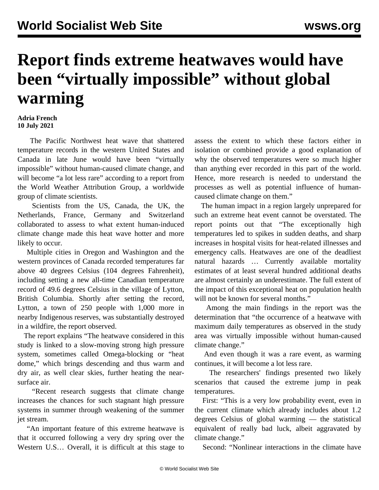## **Report finds extreme heatwaves would have been "virtually impossible" without global warming**

## **Adria French 10 July 2021**

 The Pacific Northwest heat wave that shattered temperature records in the western United States and Canada in late June would have been "virtually impossible" without human-caused climate change, and will become "a lot less rare" according to a report from the World Weather Attribution Group, a worldwide group of climate scientists.

 Scientists from the US, Canada, the UK, the Netherlands, France, Germany and Switzerland collaborated to assess to what extent human-induced climate change made this heat wave hotter and more likely to occur.

 Multiple cities in Oregon and Washington and the western provinces of Canada recorded temperatures far above 40 degrees Celsius (104 degrees Fahrenheit), including setting a new all-time Canadian temperature record of 49.6 degrees Celsius in the village of Lytton, British Columbia. Shortly after setting the record, Lytton, a town of 250 people with 1,000 more in nearby Indigenous reserves, was substantially destroyed in a wildfire, the report observed.

 The report explains "The heatwave considered in this study is linked to a slow-moving strong high pressure system, sometimes called Omega-blocking or "heat dome," which brings descending and thus warm and dry air, as well clear skies, further heating the nearsurface air.

 "Recent research suggests that climate change increases the chances for such stagnant high pressure systems in summer through weakening of the summer jet stream.

 "An important feature of this extreme heatwave is that it occurred following a very dry spring over the Western U.S… Overall, it is difficult at this stage to

assess the extent to which these factors either in isolation or combined provide a good explanation of why the observed temperatures were so much higher than anything ever recorded in this part of the world. Hence, more research is needed to understand the processes as well as potential influence of humancaused climate change on them."

 The human impact in a region largely unprepared for such an extreme heat event cannot be overstated. The report points out that "The exceptionally high temperatures led to spikes in sudden deaths, and sharp increases in hospital visits for heat-related illnesses and emergency calls. Heatwaves are one of the deadliest natural hazards … Currently available mortality estimates of at least several hundred additional deaths are almost certainly an underestimate. The full extent of the impact of this exceptional heat on population health will not be known for several months."

 Among the main findings in the report was the determination that "the occurrence of a heatwave with maximum daily temperatures as observed in the study area was virtually impossible without human-caused climate change."

 And even though it was a rare event, as warming continues, it will become a lot less rare.

 The researchers' findings presented two likely scenarios that caused the extreme jump in peak temperatures.

 First: "This is a very low probability event, even in the current climate which already includes about 1.2 degrees Celsius of global warming — the statistical equivalent of really bad luck, albeit aggravated by climate change."

Second: "Nonlinear interactions in the climate have